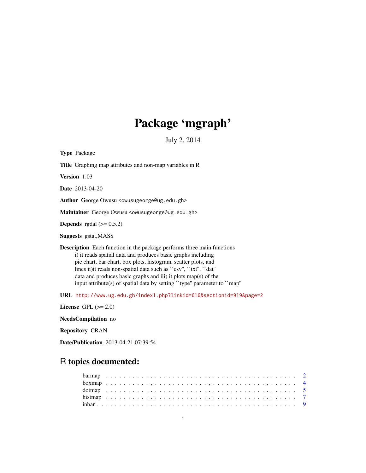# Package 'mgraph'

July 2, 2014

Type Package Title Graphing map attributes and non-map variables in R Version 1.03 Date 2013-04-20 Author George Owusu <owusugeorge@ug.edu.gh> Maintainer George Owusu <owusugeorge@ug.edu.gh> **Depends** rgdal  $(>= 0.5.2)$ Suggests gstat,MASS Description Each function in the package performs three main functions i) it reads spatial data and produces basic graphs including pie chart, bar chart, box plots, histogram, scatter plots, and lines ii)it reads non-spatial data such as ``csv'', ``txt'', ``dat'' data and produces basic graphs and iii) it plots map(s) of the input attribute(s) of spatial data by setting ``type'' parameter to ``map'' URL [http://www.ug.edu.gh/index1.php?linkid=616&sectionid=919&page=2](http://www.ug.edu.gh/index1.php?linkid=616§ionid=919&page=2)

License GPL  $(>= 2.0)$ 

NeedsCompilation no

Repository CRAN

Date/Publication 2013-04-21 07:39:54

# R topics documented: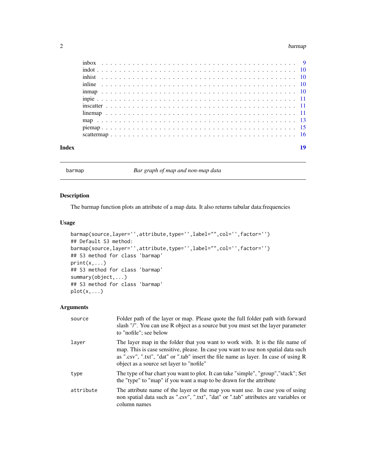#### <span id="page-1-0"></span>2 barmap barmap at the set of the set of the set of the set of the set of the set of the set of the set of the set of the set of the set of the set of the set of the set of the set of the set of the set of the set of the s

barmap *Bar graph of map and non-map data*

#### Description

The barmap function plots an attribute of a map data. It also returns tabular data:frequencies

#### Usage

```
barmap(source,layer='',attribute,type='',label="",col='',factor='')
## Default S3 method:
barmap(source,layer='',attribute,type='',label="",col='',factor='')
## S3 method for class 'barmap'
print(x,...)
## S3 method for class 'barmap'
summary(object,...)
## S3 method for class 'barmap'
plot(x, \ldots)
```
#### Arguments

| source    | Folder path of the layer or map. Please quote the full folder path with forward<br>slash "/". You can use R object as a source but you must set the layer parameter<br>to "nofile"; see below                                                                                                            |
|-----------|----------------------------------------------------------------------------------------------------------------------------------------------------------------------------------------------------------------------------------------------------------------------------------------------------------|
| laver     | The layer map in the folder that you want to work with. It is the file name of<br>map. This is case sensitive, please. In case you want to use non spatial data such<br>as ".csv", ".txt", "dat" or ".tab" insert the file name as layer. In case of using R<br>object as a source set layer to "nofile" |
| type      | The type of bar chart you want to plot. It can take "simple", "group", "stack"; Set<br>the "type" to "map" if you want a map to be drawn for the attribute                                                                                                                                               |
| attribute | The attribute name of the layer or the map you want use. In case you of using<br>non spatial data such as ".csv", ".txt", "dat" or ".tab" attributes are variables or<br>column names                                                                                                                    |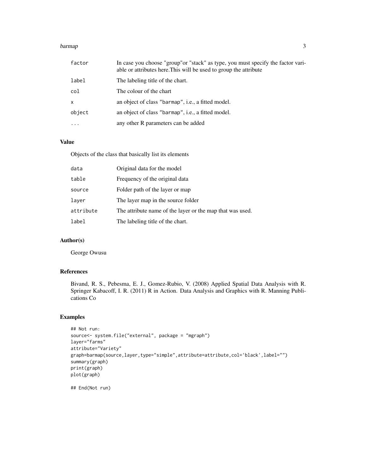#### barmap 3

| factor       | In case you choose "group" or "stack" as type, you must specify the factor vari-<br>able or attributes here. This will be used to group the attribute |
|--------------|-------------------------------------------------------------------------------------------------------------------------------------------------------|
| label        | The labeling title of the chart.                                                                                                                      |
| col          | The colour of the chart                                                                                                                               |
| $\mathsf{x}$ | an object of class "barmap", i.e., a fitted model.                                                                                                    |
| object       | an object of class "barmap", i.e., a fitted model.                                                                                                    |
| $\cdots$     | any other R parameters can be added                                                                                                                   |

# Value

Objects of the class that basically list its elements

| data      | Original data for the model                               |
|-----------|-----------------------------------------------------------|
| table     | Frequency of the original data                            |
| source    | Folder path of the layer or map                           |
| laver     | The layer map in the source folder                        |
| attribute | The attribute name of the layer or the map that was used. |
| label     | The labeling title of the chart.                          |

# Author(s)

George Owusu

### References

Bivand, R. S., Pebesma, E. J., Gomez-Rubio, V. (2008) Applied Spatial Data Analysis with R. Springer Kabacoff, I. R. (2011) R in Action. Data Analysis and Graphics with R. Manning Publications Co

#### Examples

```
## Not run:
source<- system.file("external", package = "mgraph")
layer="farms"
attribute="Variety"
graph=barmap(source,layer,type="simple",attribute=attribute,col='black',label="")
summary(graph)
print(graph)
plot(graph)
```
## End(Not run)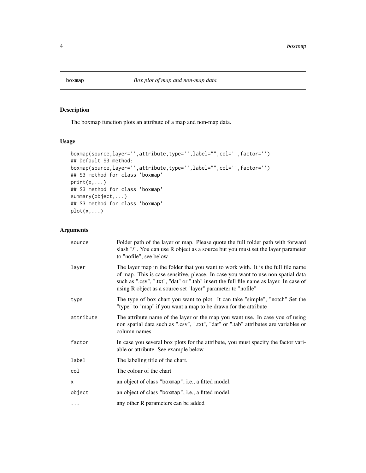<span id="page-3-0"></span>

The boxmap function plots an attribute of a map and non-map data.

# Usage

```
boxmap(source,layer='',attribute,type='',label="",col='',factor='')
## Default S3 method:
boxmap(source,layer='',attribute,type='',label="",col='',factor='')
## S3 method for class 'boxmap'
print(x,...)## S3 method for class 'boxmap'
summary(object,...)
## S3 method for class 'boxmap'
plot(x,...)
```
#### Arguments

| source    | Folder path of the layer or map. Please quote the full folder path with forward<br>slash "/". You can use R object as a source but you must set the layer parameter<br>to "nofile"; see below                                                                                                                                  |
|-----------|--------------------------------------------------------------------------------------------------------------------------------------------------------------------------------------------------------------------------------------------------------------------------------------------------------------------------------|
| layer     | The layer map in the folder that you want to work with. It is the full file name<br>of map. This is case sensitive, please. In case you want to use non spatial data<br>such as ".csv", ".txt", "dat" or ".tab" insert the full file name as layer. In case of<br>using R object as a source set "layer" parameter to "nofile" |
| type      | The type of box chart you want to plot. It can take "simple", "notch" Set the<br>"type" to "map" if you want a map to be drawn for the attribute                                                                                                                                                                               |
| attribute | The attribute name of the layer or the map you want use. In case you of using<br>non spatial data such as ".csv", ".txt", "dat" or ".tab" attributes are variables or<br>column names                                                                                                                                          |
| factor    | In case you several box plots for the attribute, you must specify the factor vari-<br>able or attribute. See example below                                                                                                                                                                                                     |
| label     | The labeling title of the chart.                                                                                                                                                                                                                                                                                               |
| col       | The colour of the chart                                                                                                                                                                                                                                                                                                        |
| X         | an object of class "boxmap", i.e., a fitted model.                                                                                                                                                                                                                                                                             |
| object    | an object of class "boxmap", i.e., a fitted model.                                                                                                                                                                                                                                                                             |
| $\cdots$  | any other R parameters can be added                                                                                                                                                                                                                                                                                            |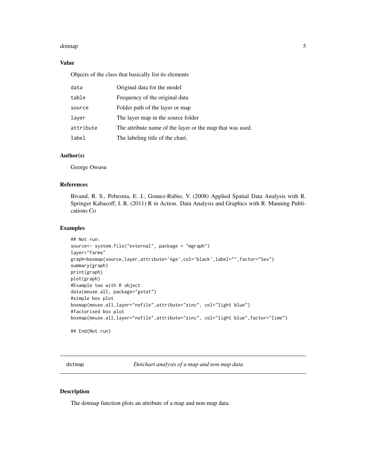#### <span id="page-4-0"></span>dotmap 5.5 and 5.5 and 5.5 and 5.5 and 5.5 and 5.5 and 5.5 and 5.5 and 5.5 and 5.5 and 5.5 and 5.5 and 5.5 and 5.5 and 5.5 and 5.5 and 5.5 and 5.5 and 5.5 and 5.5 and 5.5 and 5.5 and 5.5 and 5.5 and 5.5 and 5.5 and 5.5 and

#### Value

Objects of the class that basically list its elements

| data      | Original data for the model                               |
|-----------|-----------------------------------------------------------|
| table     | Frequency of the original data                            |
| source    | Folder path of the layer or map                           |
| laver     | The layer map in the source folder                        |
| attribute | The attribute name of the layer or the map that was used. |
| label     | The labeling title of the chart.                          |

#### Author(s)

George Owusu

#### References

Bivand, R. S., Pebesma, E. J., Gomez-Rubio, V. (2008) Applied Spatial Data Analysis with R. Springer Kabacoff, I. R. (2011) R in Action. Data Analysis and Graphics with R. Manning Publications Co

#### Examples

```
## Not run:
source<- system.file("external", package = "mgraph")
layer="farms"
graph=boxmap(source,layer,attribute='Age',col='black',label="",factor="Sex")
summary(graph)
print(graph)
plot(graph)
#Example two with R object
data(meuse.all, package="gstat")
#simple box plot
boxmap(meuse.all,layer="nofile",attribute="zinc", col="light blue")
#factorised box plot
boxmap(meuse.all,layer="nofile",attribute="zinc", col="light blue",factor="lime")
## End(Not run)
```
dotmap *Dotchart analysis of a map and non map data*

#### Description

The dotmap function plots an attribute of a map and non-map data.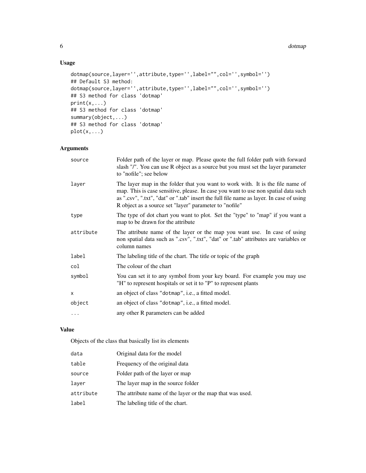#### 6 do today and the contract of the contract of the contract of the contract of the contract of the contract of the contract of the contract of the contract of the contract of the contract of the contract of the contract of

# Usage

```
dotmap(source,layer='',attribute,type='',label="",col='',symbol='')
## Default S3 method:
dotmap(source,layer='',attribute,type='',label="",col='',symbol='')
## S3 method for class 'dotmap'
print(x,...)
## S3 method for class 'dotmap'
summary(object,...)
## S3 method for class 'dotmap'
plot(x,...)
```
# Arguments

| source    | Folder path of the layer or map. Please quote the full folder path with forward<br>slash "/". You can use R object as a source but you must set the layer parameter<br>to "nofile"; see below                                                                                                                             |
|-----------|---------------------------------------------------------------------------------------------------------------------------------------------------------------------------------------------------------------------------------------------------------------------------------------------------------------------------|
| layer     | The layer map in the folder that you want to work with. It is the file name of<br>map. This is case sensitive, please. In case you want to use non spatial data such<br>as ".csv", ".txt", "dat" or ".tab" insert the full file name as layer. In case of using<br>R object as a source set "layer" parameter to "nofile" |
| type      | The type of dot chart you want to plot. Set the "type" to "map" if you want a<br>map to be drawn for the attribute                                                                                                                                                                                                        |
| attribute | The attribute name of the layer or the map you want use. In case of using<br>non spatial data such as ".csv", ".txt", "dat" or ".tab" attributes are variables or<br>column names                                                                                                                                         |
| label     | The labeling title of the chart. The title or topic of the graph                                                                                                                                                                                                                                                          |
| col       | The colour of the chart                                                                                                                                                                                                                                                                                                   |
| symbol    | You can set it to any symbol from your key board. For example you may use<br>"H" to represent hospitals or set it to "P" to represent plants                                                                                                                                                                              |
| X         | an object of class "dotmap", i.e., a fitted model.                                                                                                                                                                                                                                                                        |
| object    | an object of class "dotmap", i.e., a fitted model.                                                                                                                                                                                                                                                                        |
|           | any other R parameters can be added                                                                                                                                                                                                                                                                                       |
|           |                                                                                                                                                                                                                                                                                                                           |

#### Value

Objects of the class that basically list its elements

| data      | Original data for the model                               |
|-----------|-----------------------------------------------------------|
| table     | Frequency of the original data                            |
| source    | Folder path of the layer or map                           |
| layer     | The layer map in the source folder                        |
| attribute | The attribute name of the layer or the map that was used. |
| label     | The labeling title of the chart.                          |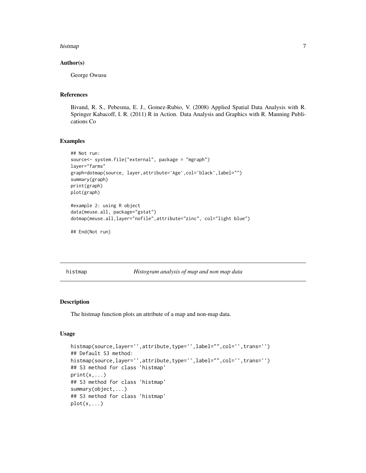#### <span id="page-6-0"></span>histmap 2012 - 2013 - 2023 - 2023 - 2023 - 2023 - 2023 - 2023 - 2023 - 2023 - 2023 - 2023 - 2023 - 2023 - 2023

#### Author(s)

George Owusu

#### References

Bivand, R. S., Pebesma, E. J., Gomez-Rubio, V. (2008) Applied Spatial Data Analysis with R. Springer Kabacoff, I. R. (2011) R in Action. Data Analysis and Graphics with R. Manning Publications Co

#### Examples

```
## Not run:
source<- system.file("external", package = "mgraph")
layer="farms"
graph=dotmap(source, layer,attribute='Age',col='black',label="")
summary(graph)
print(graph)
plot(graph)
#example 2: using R object
data(meuse.all, package="gstat")
dotmap(meuse.all,layer="nofile",attribute="zinc", col="light blue")
## End(Not run)
```
histmap *Histogram analysis of map and non map data*

#### Description

The histmap function plots an attribute of a map and non-map data.

#### Usage

```
histmap(source, layer='',attribute, type='', label="", col='', trans='')
## Default S3 method:
histmap(source,layer='',attribute,type='',label="",col='',trans='')
## S3 method for class 'histmap'
print(x, \ldots)## S3 method for class 'histmap'
summary(object,...)
## S3 method for class 'histmap'
plot(x,...)
```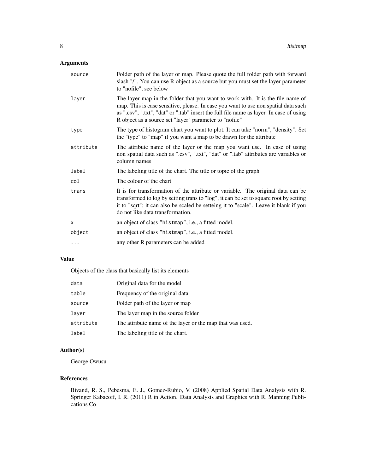# Arguments

| Folder path of the layer or map. Please quote the full folder path with forward<br>slash "/". You can use R object as a source but you must set the layer parameter<br>to "nofile"; see below                                                                                                                             |
|---------------------------------------------------------------------------------------------------------------------------------------------------------------------------------------------------------------------------------------------------------------------------------------------------------------------------|
| The layer map in the folder that you want to work with. It is the file name of<br>map. This is case sensitive, please. In case you want to use non spatial data such<br>as ".csv", ".txt", "dat" or ".tab" insert the full file name as layer. In case of using<br>R object as a source set "layer" parameter to "nofile" |
| The type of histogram chart you want to plot. It can take "norm", "density". Set<br>the "type" to "map" if you want a map to be drawn for the attribute                                                                                                                                                                   |
| The attribute name of the layer or the map you want use. In case of using<br>non spatial data such as ".csv", ".txt", "dat" or ".tab" attributes are variables or<br>column names                                                                                                                                         |
| The labeling title of the chart. The title or topic of the graph                                                                                                                                                                                                                                                          |
| The colour of the chart                                                                                                                                                                                                                                                                                                   |
| It is for transformation of the attribute or variable. The original data can be<br>transformed to log by setting trans to "log"; it can be set to square root by setting<br>it to "sqrt"; it can also be scaled be setteing it to "scale". Leave it blank if you<br>do not like data transformation.                      |
| an object of class "histmap", <i>i.e.</i> , a fitted model.                                                                                                                                                                                                                                                               |
| an object of class "histmap", i.e., a fitted model.                                                                                                                                                                                                                                                                       |
| any other R parameters can be added                                                                                                                                                                                                                                                                                       |
|                                                                                                                                                                                                                                                                                                                           |

#### Value

Objects of the class that basically list its elements

| data      | Original data for the model                               |
|-----------|-----------------------------------------------------------|
| table     | Frequency of the original data                            |
| source    | Folder path of the layer or map                           |
| laver     | The layer map in the source folder                        |
| attribute | The attribute name of the layer or the map that was used. |
| label     | The labeling title of the chart.                          |

#### Author(s)

George Owusu

#### References

Bivand, R. S., Pebesma, E. J., Gomez-Rubio, V. (2008) Applied Spatial Data Analysis with R. Springer Kabacoff, I. R. (2011) R in Action. Data Analysis and Graphics with R. Manning Publications Co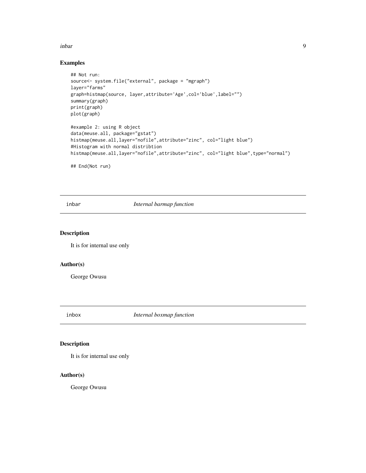#### <span id="page-8-0"></span>inbar 9

#### Examples

```
## Not run:
source<- system.file("external", package = "mgraph")
layer="farms"
graph=histmap(source, layer,attribute='Age',col='blue',label="")
summary(graph)
print(graph)
plot(graph)
#example 2: using R object
data(meuse.all, package="gstat")
histmap(meuse.all,layer="nofile",attribute="zinc", col="light blue")
#Histogram with normal distribtion
histmap(meuse.all,layer="nofile",attribute="zinc", col="light blue",type="normal")
## End(Not run)
```
inbar *Internal barmap function*

#### Description

It is for internal use only

#### Author(s)

George Owusu

inbox *Internal boxmap function*

#### Description

It is for internal use only

#### Author(s)

George Owusu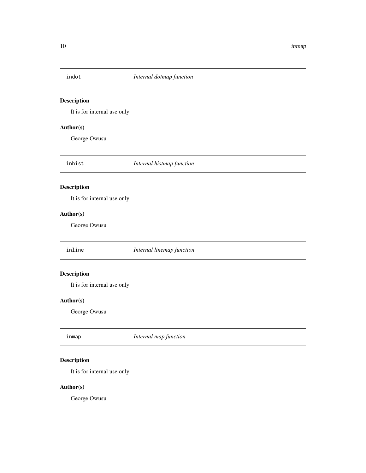<span id="page-9-0"></span>

It is for internal use only

#### Author(s)

George Owusu

inhist *Internal histmap function*

# Description

It is for internal use only

# Author(s)

George Owusu

inline *Internal linemap function*

# Description

It is for internal use only

#### Author(s)

George Owusu

| inmap | Internal map function |
|-------|-----------------------|
|       |                       |

# Description

It is for internal use only

#### Author(s)

George Owusu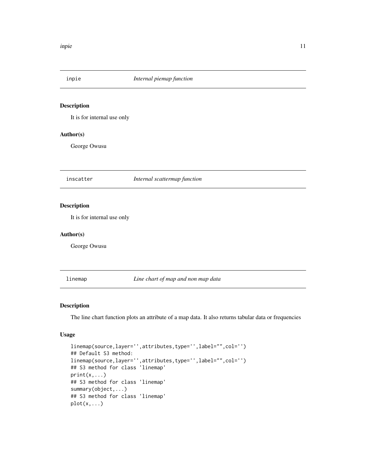<span id="page-10-0"></span>

It is for internal use only

### Author(s)

George Owusu

inscatter *Internal scattermap function*

#### Description

It is for internal use only

#### Author(s)

George Owusu

linemap *Line chart of map and non map data*

#### Description

The line chart function plots an attribute of a map data. It also returns tabular data or frequencies

#### Usage

```
linemap(source,layer='',attributes,type='',label="",col='')
## Default S3 method:
linemap(source,layer='',attributes,type='',label="",col='')
## S3 method for class 'linemap'
print(x, \ldots)## S3 method for class 'linemap'
summary(object,...)
## S3 method for class 'linemap'
plot(x,...)
```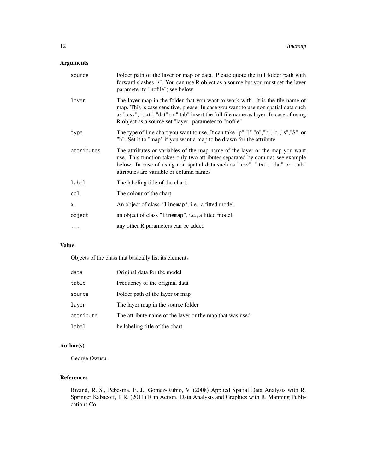# Arguments

| source     | Folder path of the layer or map or data. Please quote the full folder path with<br>forward slashes "/". You can use R object as a source but you must set the layer<br>parameter to "nofile"; see below                                                                                                                   |
|------------|---------------------------------------------------------------------------------------------------------------------------------------------------------------------------------------------------------------------------------------------------------------------------------------------------------------------------|
| layer      | The layer map in the folder that you want to work with. It is the file name of<br>map. This is case sensitive, please. In case you want to use non spatial data such<br>as ".csv", ".txt", "dat" or ".tab" insert the full file name as layer. In case of using<br>R object as a source set "layer" parameter to "nofile" |
| type       | The type of line chart you want to use. It can take "p","l","o","b","c","s","S", or<br>"h". Set it to "map" if you want a map to be drawn for the attribute                                                                                                                                                               |
| attributes | The attributes or variables of the map name of the layer or the map you want<br>use. This function takes only two attributes separated by comma: see example<br>below. In case of using non spatial data such as ".csv", ".txt", "dat" or ".tab"<br>attributes are variable or column names                               |
| label      | The labeling title of the chart.                                                                                                                                                                                                                                                                                          |
| col        | The colour of the chart                                                                                                                                                                                                                                                                                                   |
| X          | An object of class "linemap", i.e., a fitted model.                                                                                                                                                                                                                                                                       |
| object     | an object of class "linemap", i.e., a fitted model.                                                                                                                                                                                                                                                                       |
| $\cdots$   | any other R parameters can be added                                                                                                                                                                                                                                                                                       |

# Value

Objects of the class that basically list its elements

| data      | Original data for the model                               |
|-----------|-----------------------------------------------------------|
| table     | Frequency of the original data                            |
| source    | Folder path of the layer or map                           |
| laver     | The layer map in the source folder                        |
| attribute | The attribute name of the layer or the map that was used. |
| label     | he labeling title of the chart.                           |

# Author(s)

George Owusu

# References

Bivand, R. S., Pebesma, E. J., Gomez-Rubio, V. (2008) Applied Spatial Data Analysis with R. Springer Kabacoff, I. R. (2011) R in Action. Data Analysis and Graphics with R. Manning Publications Co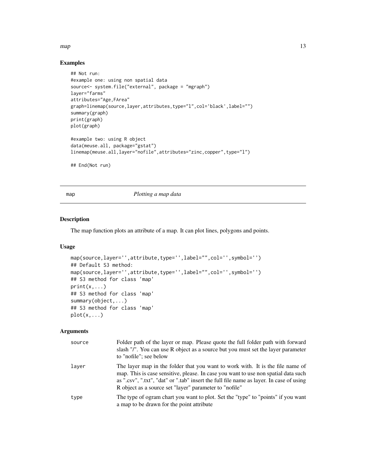#### <span id="page-12-0"></span> $map$  and  $13$

### Examples

```
## Not run:
#example one: using non spatial data
source<- system.file("external", package = "mgraph")
layer="farms"
attributes="Age,FArea"
graph=linemap(source,layer,attributes,type="l",col='black',label="")
summary(graph)
print(graph)
plot(graph)
#example two: using R object
data(meuse.all, package="gstat")
linemap(meuse.all,layer="nofile",attributes="zinc,copper",type="l")
## End(Not run)
```
map *Plotting a map data*

#### Description

The map function plots an attribute of a map. It can plot lines, polygons and points.

#### Usage

```
map(source,layer='',attribute,type='',label="",col='',symbol='')
## Default S3 method:
map(source,layer='',attribute,type='',label="",col='',symbol='')
## S3 method for class 'map'
print(x, \ldots)## S3 method for class 'map'
summary(object,...)
## S3 method for class 'map'
plot(x,...)
```
#### Arguments

| source | Folder path of the layer or map. Please quote the full folder path with forward<br>slash "/". You can use R object as a source but you must set the layer parameter<br>to "nofile"; see below                                                                                                                             |
|--------|---------------------------------------------------------------------------------------------------------------------------------------------------------------------------------------------------------------------------------------------------------------------------------------------------------------------------|
| laver  | The layer map in the folder that you want to work with. It is the file name of<br>map. This is case sensitive, please. In case you want to use non spatial data such<br>as ".csv", ".txt", "dat" or ".tab" insert the full file name as layer. In case of using<br>R object as a source set "layer" parameter to "nofile" |
| type   | The type of ogram chart you want to plot. Set the "type" to "points" if you want<br>a map to be drawn for the point attribute                                                                                                                                                                                             |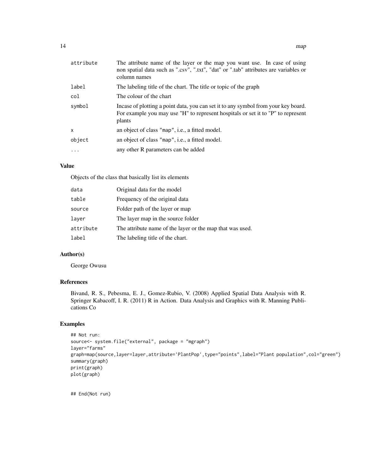| attribute | The attribute name of the layer or the map you want use. In case of using<br>non spatial data such as ".csv", ".txt", "dat" or ".tab" attributes are variables or<br>column names |
|-----------|-----------------------------------------------------------------------------------------------------------------------------------------------------------------------------------|
| label     | The labeling title of the chart. The title or topic of the graph                                                                                                                  |
| col       | The colour of the chart                                                                                                                                                           |
| symbol    | Incase of plotting a point data, you can set it to any symbol from your key board.<br>For example you may use "H" to represent hospitals or set it to "P" to represent<br>plants  |
| x         | an object of class "map", i.e., a fitted model.                                                                                                                                   |
| object    | an object of class "map", i.e., a fitted model.                                                                                                                                   |
| $\cdots$  | any other R parameters can be added                                                                                                                                               |

#### Value

Objects of the class that basically list its elements

| data      | Original data for the model                               |
|-----------|-----------------------------------------------------------|
| table     | Frequency of the original data                            |
| source    | Folder path of the layer or map                           |
| laver     | The layer map in the source folder                        |
| attribute | The attribute name of the layer or the map that was used. |
| label     | The labeling title of the chart.                          |

#### Author(s)

George Owusu

#### References

Bivand, R. S., Pebesma, E. J., Gomez-Rubio, V. (2008) Applied Spatial Data Analysis with R. Springer Kabacoff, I. R. (2011) R in Action. Data Analysis and Graphics with R. Manning Publications Co

#### Examples

```
## Not run:
source<- system.file("external", package = "mgraph")
layer="farms"
graph=map(source,layer=layer,attribute='PlantPop',type="points",label="Plant population",col="green")
summary(graph)
print(graph)
plot(graph)
```
## End(Not run)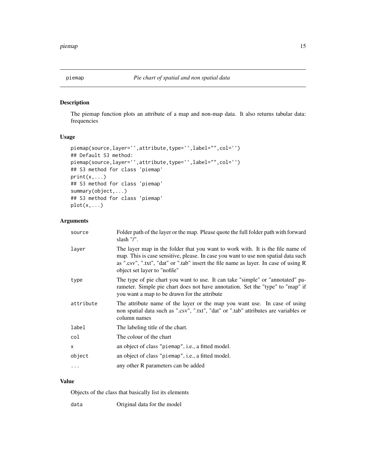<span id="page-14-0"></span>

The piemap function plots an attribute of a map and non-map data. It also returns tabular data: frequencies

#### Usage

```
piemap(source,layer='',attribute,type='',label="",col='')
## Default S3 method:
piemap(source,layer='',attribute,type='',label="",col='')
## S3 method for class 'piemap'
print(x,...)
## S3 method for class 'piemap'
summary(object,...)
## S3 method for class 'piemap'
plot(x,...)
```
## Arguments

| source    | Folder path of the layer or the map. Please quote the full folder path with forward<br>slash $''/$ ".                                                                                                                                                                                        |
|-----------|----------------------------------------------------------------------------------------------------------------------------------------------------------------------------------------------------------------------------------------------------------------------------------------------|
| laver     | The layer map in the folder that you want to work with. It is the file name of<br>map. This is case sensitive, please. In case you want to use non spatial data such<br>as ".csv", ".txt", "dat" or ".tab" insert the file name as layer. In case of using R<br>object set layer to "nofile" |
| type      | The type of pie chart you want to use. It can take "simple" or "annotated" pa-<br>rameter. Simple pie chart does not have annotation. Set the "type" to "map" if<br>you want a map to be drawn for the attribute                                                                             |
| attribute | The attribute name of the layer or the map you want use. In case of using<br>non spatial data such as ".csv", ".txt", "dat" or ".tab" attributes are variables or<br>column names                                                                                                            |
| label     | The labeling title of the chart.                                                                                                                                                                                                                                                             |
| col       | The colour of the chart                                                                                                                                                                                                                                                                      |
| X         | an object of class "piemap", i.e., a fitted model.                                                                                                                                                                                                                                           |
| object    | an object of class "piemap", i.e., a fitted model.                                                                                                                                                                                                                                           |
| $\cdot$   | any other R parameters can be added                                                                                                                                                                                                                                                          |
|           |                                                                                                                                                                                                                                                                                              |

#### Value

Objects of the class that basically list its elements

data Original data for the model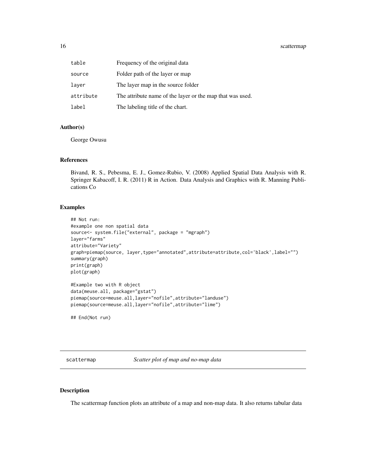<span id="page-15-0"></span>

| table     | Frequency of the original data                            |
|-----------|-----------------------------------------------------------|
| source    | Folder path of the layer or map                           |
| laver     | The layer map in the source folder                        |
| attribute | The attribute name of the layer or the map that was used. |
| label     | The labeling title of the chart.                          |

#### Author(s)

George Owusu

#### References

Bivand, R. S., Pebesma, E. J., Gomez-Rubio, V. (2008) Applied Spatial Data Analysis with R. Springer Kabacoff, I. R. (2011) R in Action. Data Analysis and Graphics with R. Manning Publications Co

#### Examples

```
## Not run:
#example one non spatial data
source<- system.file("external", package = "mgraph")
layer="farms"
attribute="Variety"
graph=piemap(source, layer,type="annotated",attribute=attribute,col='black',label="")
summary(graph)
print(graph)
plot(graph)
#Example two with R object
data(meuse.all, package="gstat")
piemap(source=meuse.all,layer="nofile",attribute="landuse")
piemap(source=meuse.all,layer="nofile",attribute="lime")
```
## End(Not run)

scattermap *Scatter plot of map and no-map data*

#### Description

The scattermap function plots an attribute of a map and non-map data. It also returns tabular data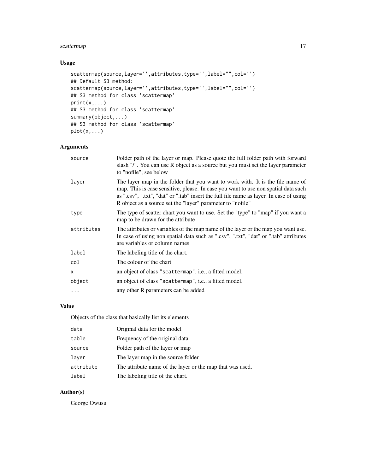# scattermap 17

# Usage

```
scattermap(source,layer='',attributes,type='',label="",col='')
## Default S3 method:
scattermap(source,layer='',attributes,type='',label="",col='')
## S3 method for class 'scattermap'
print(x,...)
## S3 method for class 'scattermap'
summary(object,...)
## S3 method for class 'scattermap'
plot(x,...)
```
## Arguments

| source     | Folder path of the layer or map. Please quote the full folder path with forward<br>slash "/". You can use R object as a source but you must set the layer parameter<br>to "nofile"; see below                                                                                                                                 |
|------------|-------------------------------------------------------------------------------------------------------------------------------------------------------------------------------------------------------------------------------------------------------------------------------------------------------------------------------|
| layer      | The layer map in the folder that you want to work with. It is the file name of<br>map. This is case sensitive, please. In case you want to use non spatial data such<br>as ".csv", ".txt", "dat" or ".tab" insert the full file name as layer. In case of using<br>R object as a source set the "layer" parameter to "nofile" |
| type       | The type of scatter chart you want to use. Set the "type" to "map" if you want a<br>map to be drawn for the attribute                                                                                                                                                                                                         |
| attributes | The attributes or variables of the map name of the layer or the map you want use.<br>In case of using non spatial data such as ".csv", ".txt", "dat" or ".tab" attributes<br>are variables or column names                                                                                                                    |
| label      | The labeling title of the chart.                                                                                                                                                                                                                                                                                              |
| col        | The colour of the chart                                                                                                                                                                                                                                                                                                       |
| X          | an object of class "scattermap", i.e., a fitted model.                                                                                                                                                                                                                                                                        |
| object     | an object of class "scattermap", i.e., a fitted model.                                                                                                                                                                                                                                                                        |
| $\cdots$   | any other R parameters can be added                                                                                                                                                                                                                                                                                           |

# Value

Objects of the class that basically list its elements

| data      | Original data for the model                               |
|-----------|-----------------------------------------------------------|
| table     | Frequency of the original data                            |
| source    | Folder path of the layer or map                           |
| layer     | The layer map in the source folder                        |
| attribute | The attribute name of the layer or the map that was used. |
| label     | The labeling title of the chart.                          |

# Author(s)

George Owusu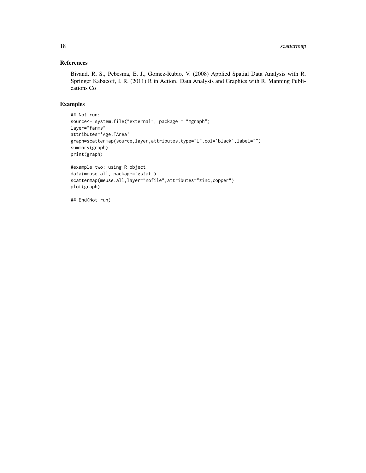#### References

Bivand, R. S., Pebesma, E. J., Gomez-Rubio, V. (2008) Applied Spatial Data Analysis with R. Springer Kabacoff, I. R. (2011) R in Action. Data Analysis and Graphics with R. Manning Publications Co

#### Examples

```
## Not run:
source<- system.file("external", package = "mgraph")
layer="farms"
attributes='Age,FArea'
graph=scattermap(source,layer,attributes,type="l",col='black',label="")
summary(graph)
print(graph)
#example two: using R object
data(meuse.all, package="gstat")
scattermap(meuse.all,layer="nofile",attributes="zinc,copper")
plot(graph)
## End(Not run)
```